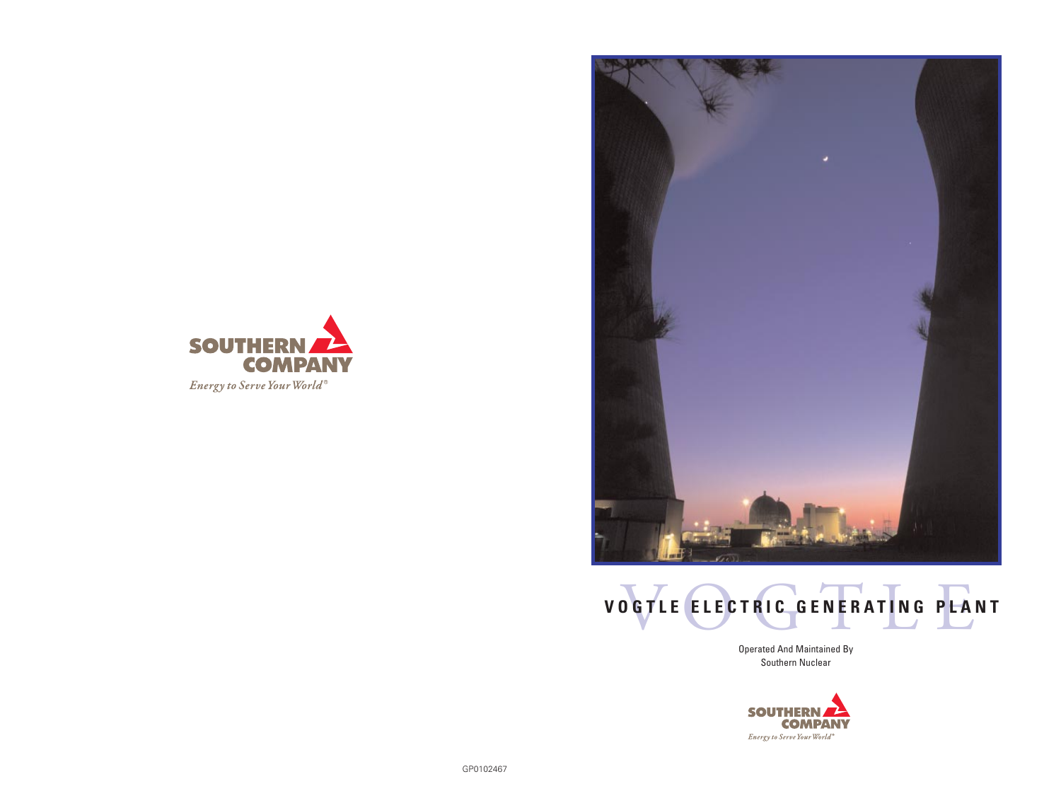





Operated And Maintained By Southern Nuclear

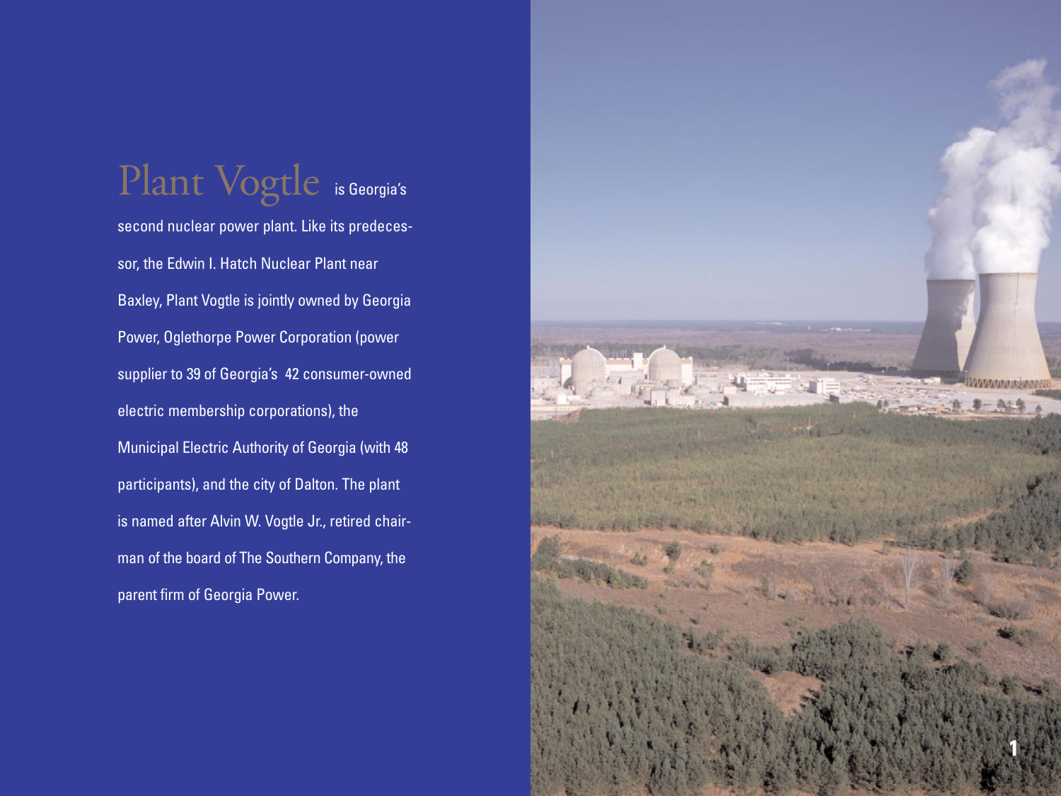# Plant Vogtle is Georgia's

second nuclear power plant. Like its predecessor, the Edwin I. Hatch Nuclear Plant near Baxley, Plant Vogtle is jointly owned by Georgia Power, Oglethorpe Power Corporation (power supplier to 39 of Georgia's 42 consumer-owned electric membership corporations), the Municipal Electric Authority of Georgia (with 48 participants), and the city of Dalton. The plant is named after Alvin W. Vogtle Jr., retired chairman of the board of The Southern Company, the parent firm of Georgia Power.

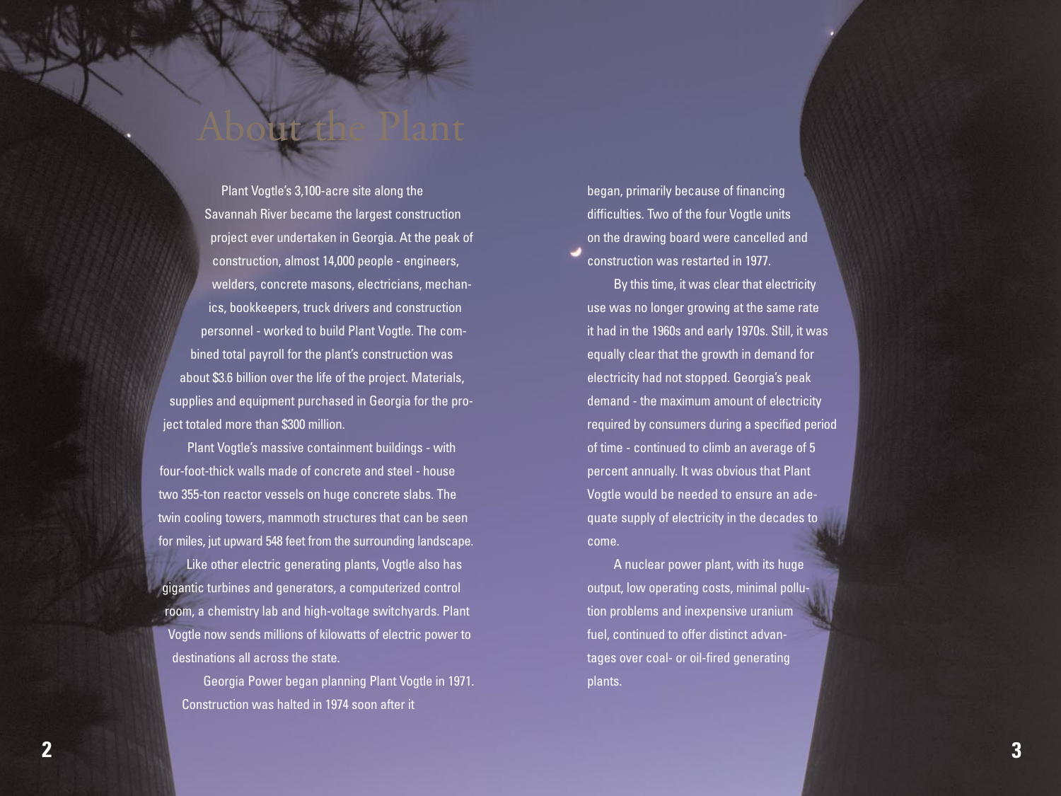Plant Vogtle's 3,100-acre site along the Savannah River became the largest construction project ever undertaken in Georgia. At the peak of construction, almost 14,000 people - engineers, welders, concrete masons, electricians, mechanics, bookkeepers, truck drivers and construction personnel - worked to build Plant Vogtle. The combined total payroll for the plant's construction was about \$3.6 billion over the life of the project. Materials, supplies and equipment purchased in Georgia for the project totaled more than \$300 million.

About the Plant

Plant Vogtle's massive containment buildings - with four-foot-thick walls made of concrete and steel - house two 355-ton reactor vessels on huge concrete slabs. The twin cooling towers, mammoth structures that can be seen for miles, jut upward 548 feet from the surrounding landscape.

Like other electric generating plants, Vogtle also has gigantic turbines and generators, a computerized control room, a chemistry lab and high-voltage switchyards. Plant Vogtle now sends millions of kilowatts of electric power to destinations all across the state.

Georgia Power began planning Plant Vogtle in 1971. Construction was halted in 1974 soon after it

began, primarily because of financing difficulties. Two of the four Vogtle units on the drawing board were cancelled and construction was restarted in 1977.

By this time, it was clear that electricity use was no longer growing at the same rate it had in the 1960s and early 1970s. Still, it was equally clear that the growth in demand for electricity had not stopped. Georgia's peak demand - the maximum amount of electricity required by consumers during a specified period of time - continued to climb an average of 5 percent annually. It was obvious that Plant Vogtle would be needed to ensure an adequate supply of electricity in the decades to come.

A nuclear power plant, with its huge output, low operating costs, minimal pollution problems and inexpensive uranium fuel, continued to offer distinct advantages over coal- or oil-fired generating plants.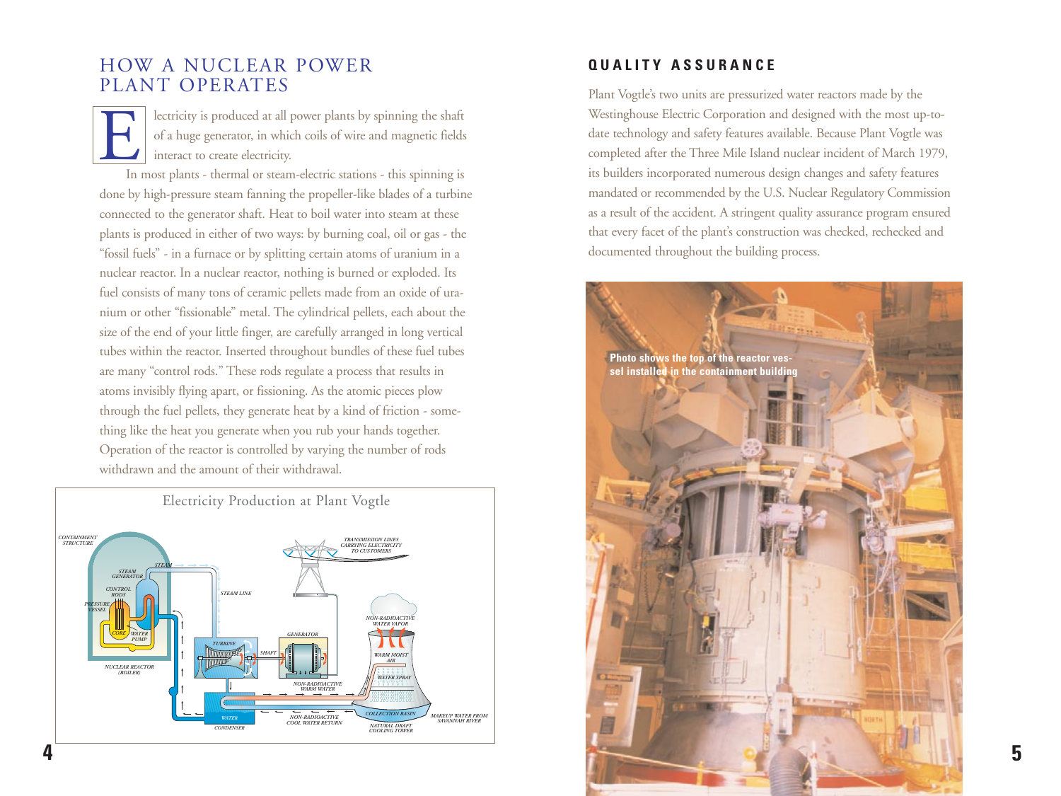## HOW A NUCLEAR POWER PLANT OPERATES

EX lectricity is produced at all power plants by spinning the shaft<br>of a huge generator, in which coils of wire and magnetic fields<br>interact to create electricity.<br>In most plants - thermal or steam-electric stations - this of a huge generator, in which coils of wire and magnetic fields interact to create electricity.

In most plants - thermal or steam-electric stations - this spinning is done by high-pressure steam fanning the propeller-like blades of a turbine connected to the generator shaft. Heat to boil water into steam at these plants is produced in either of two ways: by burning coal, oil or gas - the "fossil fuels" - in a furnace or by splitting certain atoms of uranium in a nuclear reactor. In a nuclear reactor, nothing is burned or exploded. Its fuel consists of many tons of ceramic pellets made from an oxide of uranium or other "fissionable" metal. The cylindrical pellets, each about the size of the end of your little finger, are carefully arranged in long vertical tubes within the reactor. Inserted throughout bundles of these fuel tubes are many "control rods." These rods regulate a process that results in atoms invisibly flying apart, or fissioning. As the atomic pieces plow through the fuel pellets, they generate heat by a kind of friction - something like the heat you generate when you rub your hands together. Operation of the reactor is controlled by varying the number of rods withdrawn and the amount of their withdrawal.



#### **QUALITY ASSURANCE**

Plant Vogtle's two units are pressurized water reactors made by the Westinghouse Electric Corporation and designed with the most up-todate technology and safety features available. Because Plant Vogtle was completed after the Three Mile Island nuclear incident of March 1979, its builders incorporated numerous design changes and safety features mandated or recommended by the U.S. Nuclear Regulatory Commission as a result of the accident. A stringent quality assurance program ensured that every facet of the plant's construction was checked, rechecked and documented throughout the building process.

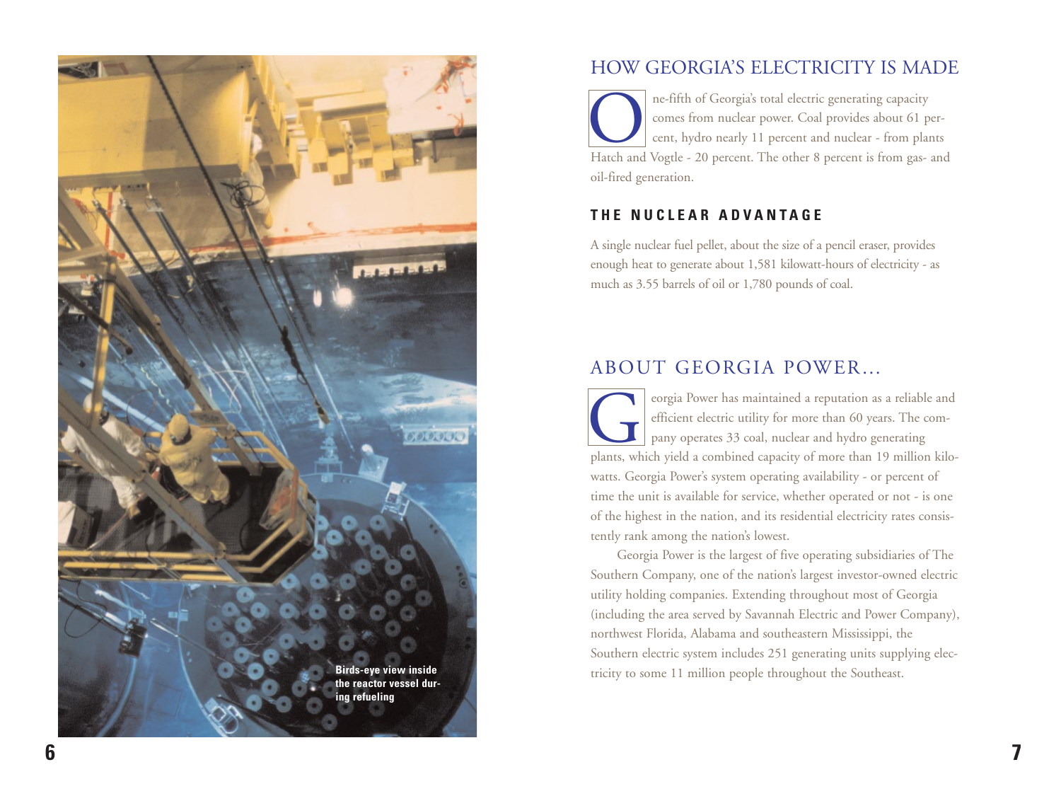

## HOW GEORGIA'S ELECTRICITY IS MADE

ne-fifth of Georgia's total electric generating capacity<br>comes from nuclear power. Coal provides about 61 p<br>cent, hydro nearly 11 percent and nuclear - from pla<br>Hatch and Vogtle - 20 percent. The other 8 percent is from ga comes from nuclear power. Coal provides about 61 percent, hydro nearly 11 percent and nuclear - from plants Hatch and Vogtle - 20 percent. The other 8 percent is from gas- and oil-fired generation.

#### **THE NUCLEAR ADVANTAGE**

A single nuclear fuel pellet, about the size of a pencil eraser, provides enough heat to generate about 1,581 kilowatt-hours of electricity - as much as 3.55 barrels of oil or 1,780 pounds of coal.

# ABOUT GEORGIA POWER…

eorgia Power has maintained a reputation as a reliable and efficient electric utility for more than 60 years. The company operates 33 coal, nuclear and hydro generating plants, which vield a combined capacity of more than efficient electric utility for more than 60 years. The company operates 33 coal, nuclear and hydro generating plants, which yield a combined capacity of more than 19 million kilowatts. Georgia Power's system operating availability - or percent of time the unit is available for service, whether operated or not - is one of the highest in the nation, and its residential electricity rates consistently rank among the nation's lowest.

Georgia Power is the largest of five operating subsidiaries of The Southern Company, one of the nation's largest investor-owned electric utility holding companies. Extending throughout most of Georgia (including the area served by Savannah Electric and Power Company), northwest Florida, Alabama and southeastern Mississippi, the Southern electric system includes 251 generating units supplying electricity to some 11 million people throughout the Southeast.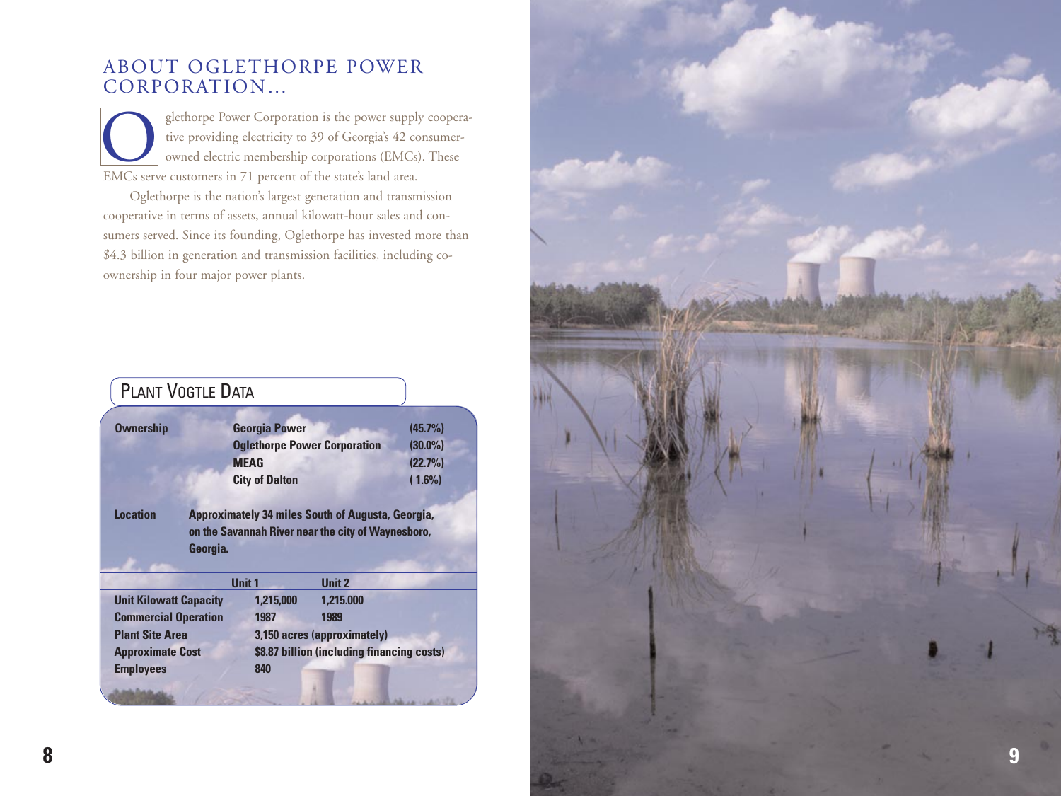# ABOUT OGLETHORPE POWER CORPORATION…

glethorpe Power Corporation is the power supply cooperative providing electricity to 39 of Georgia's 42 consumer owned electric membership corporations (EMCs). These EMCs serve customers in 71 percent of the state's land area.

Oglethorpe is the nation's largest generation and transmission cooperative in terms of assets, annual kilowatt-hour sales and consumers served. Since its founding, Oglethorpe has invested more than \$4.3 billion in generation and transmission facilities, including co ownership in four major power plants.

|                               | <b>PLANT VOGTLE DATA</b> |                                     |                                                                                                                |            |
|-------------------------------|--------------------------|-------------------------------------|----------------------------------------------------------------------------------------------------------------|------------|
| <b>Ownership</b>              |                          | <b>Georgia Power</b>                |                                                                                                                | (45.7%)    |
|                               |                          | <b>Oglethorpe Power Corporation</b> |                                                                                                                | $(30.0\%)$ |
|                               |                          | <b>MEAG</b>                         |                                                                                                                | (22.7%)    |
|                               |                          | <b>City of Dalton</b>               |                                                                                                                | $(1.6\%)$  |
| <b>Location</b>               | Georgia.                 |                                     | <b>Approximately 34 miles South of Augusta, Georgia,</b><br>on the Savannah River near the city of Waynesboro, |            |
|                               |                          | <b>Unit 1</b>                       | <b>Unit 2</b>                                                                                                  |            |
|                               |                          |                                     |                                                                                                                |            |
| <b>Unit Kilowatt Capacity</b> |                          | 1,215,000                           | 1.215.000                                                                                                      |            |
| <b>Commercial Operation</b>   |                          | 1987                                | 1989                                                                                                           |            |
| <b>Plant Site Area</b>        |                          |                                     | 3,150 acres (approximately)                                                                                    |            |
| <b>Approximate Cost</b>       |                          |                                     | \$8.87 billion (including financing costs)                                                                     |            |
| <b>Employees</b>              |                          | 840                                 |                                                                                                                |            |

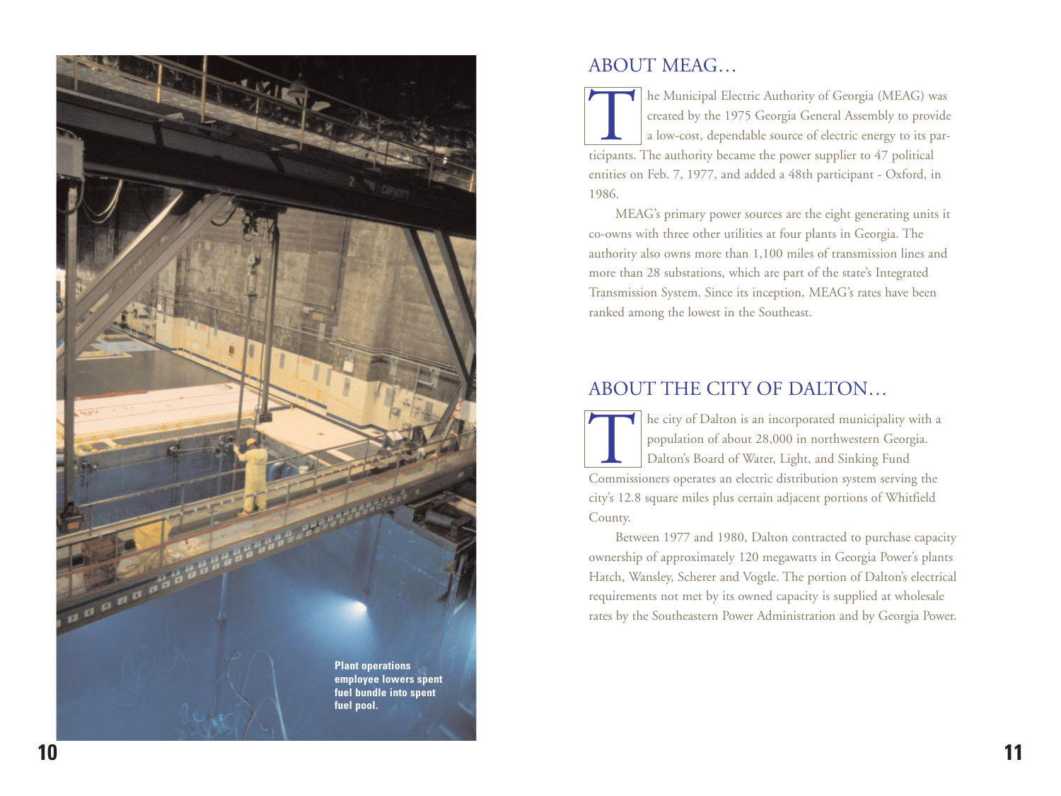

### ABOUT MEAG…

The Municipal Electric Authority of Georgia (MEAG) was<br>created by the 1975 Georgia General Assembly to provide<br>a low-cost, dependable source of electric energy to its participants. The authority became the power supplier t created by the 1975 Georgia General Assembly to provide a low-cost, dependable source of electric energy to its participants. The authority became the power supplier to 47 political entities on Feb. 7, 1977, and added a 48th participant - Oxford, in 1986.

MEAG's primary power sources are the eight generating units it co-owns with three other utilities at four plants in Georgia. The authority also owns more than 1,100 miles of transmission lines and more than 28 substations, which are part of the state's Integrated Transmission System. Since its inception, MEAG's rates have been ranked among the lowest in the Southeast.

# ABOUT THE CITY OF DALTON…

The city of Dalton is an incorporated municipality with a population of about 28,000 in northwestern Georgia.<br>Dalton's Board of Water, Light, and Sinking Fund<br>Commissioners operates an electric distribution system serving population of about 28,000 in northwestern Georgia. Dalton's Board of Water, Light, and Sinking Fund Commissioners operates an electric distribution system serving the city's 12.8 square miles plus certain adjacent portions of Whitfield County.

Between 1977 and 1980, Dalton contracted to purchase capacity ownership of approximately 120 megawatts in Georgia Power's plants Hatch, Wansley, Scherer and Vogtle. The portion of Dalton's electrical requirements not met by its owned capacity is supplied at wholesale rates by the Southeastern Power Administration and by Georgia Power.